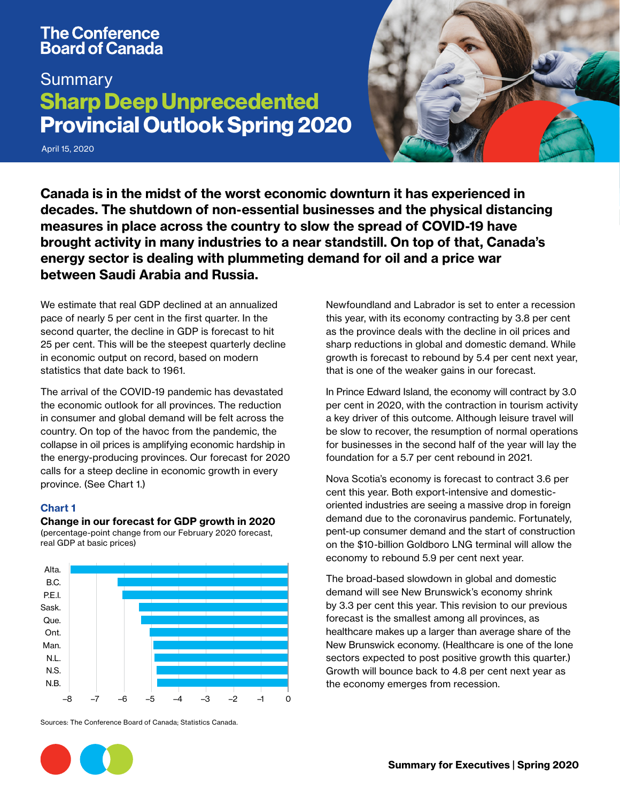# **The Conference Board of Canada**

# **Summary** Sharp Deep Unprecedented Provincial Outlook Spring 2020

April 15, 2020



Canada is in the midst of the worst economic downturn it has experienced in decades. The shutdown of non-essential businesses and the physical distancing measures in place across the country to slow the spread of COVID-19 have brought activity in many industries to a near standstill. On top of that, Canada's energy sector is dealing with plummeting demand for oil and a price war between Saudi Arabia and Russia.

We estimate that real GDP declined at an annualized pace of nearly 5 per cent in the first quarter. In the second quarter, the decline in GDP is forecast to hit 25 per cent. This will be the steepest quarterly decline in economic output on record, based on modern statistics that date back to 1961.

The arrival of the COVID-19 pandemic has devastated the economic outlook for all provinces. The reduction in consumer and global demand will be felt across the country. On top of the havoc from the pandemic, the collapse in oil prices is amplifying economic hardship in the energy-producing provinces. Our forecast for 2020 calls for a steep decline in economic growth in every province. (See Chart 1.)

# Chart 1

#### Change in our forecast for GDP growth in 2020

(percentage-point change from our February 2020 forecast, real GDP at basic prices)



Sources: The Conference Board of Canada; Statistics Canada.

Newfoundland and Labrador is set to enter a recession this year, with its economy contracting by 3.8 per cent as the province deals with the decline in oil prices and sharp reductions in global and domestic demand. While growth is forecast to rebound by 5.4 per cent next year, that is one of the weaker gains in our forecast.

In Prince Edward Island, the economy will contract by 3.0 per cent in 2020, with the contraction in tourism activity a key driver of this outcome. Although leisure travel will be slow to recover, the resumption of normal operations for businesses in the second half of the year will lay the foundation for a 5.7 per cent rebound in 2021.

Nova Scotia's economy is forecast to contract 3.6 per cent this year. Both export-intensive and domesticoriented industries are seeing a massive drop in foreign demand due to the coronavirus pandemic. Fortunately, pent-up consumer demand and the start of construction on the \$10-billion Goldboro LNG terminal will allow the economy to rebound 5.9 per cent next year.

The broad-based slowdown in global and domestic demand will see New Brunswick's economy shrink by 3.3 per cent this year. This revision to our previous forecast is the smallest among all provinces, as healthcare makes up a larger than average share of the New Brunswick economy. (Healthcare is one of the lone sectors expected to post positive growth this quarter.) Growth will bounce back to 4.8 per cent next year as the economy emerges from recession.